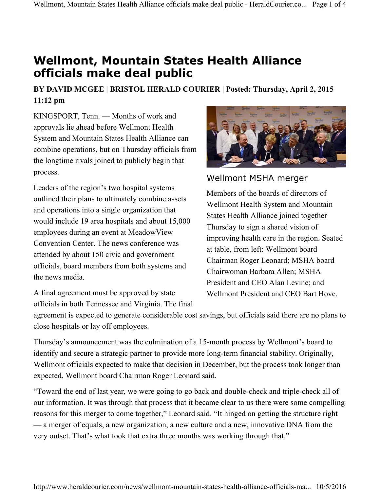## **Wellmont, Mountain States Health Alliance officials make deal public**

## **BY DAVID MCGEE | BRISTOL HERALD COURIER | Posted: Thursday, April 2, 2015 11:12 pm**

KINGSPORT, Tenn. — Months of work and approvals lie ahead before Wellmont Health System and Mountain States Health Alliance can combine operations, but on Thursday officials from the longtime rivals joined to publicly begin that process.

Leaders of the region's two hospital systems outlined their plans to ultimately combine assets and operations into a single organization that would include 19 area hospitals and about 15,000 employees during an event at MeadowView Convention Center. The news conference was attended by about 150 civic and government officials, board members from both systems and the news media.

A final agreement must be approved by state officials in both Tennessee and Virginia. The final



## Wellmont MSHA merger

Members of the boards of directors of Wellmont Health System and Mountain States Health Alliance joined together Thursday to sign a shared vision of improving health care in the region. Seated at table, from left: Wellmont board Chairman Roger Leonard; MSHA board Chairwoman Barbara Allen; MSHA President and CEO Alan Levine; and Wellmont President and CEO Bart Hove.

agreement is expected to generate considerable cost savings, but officials said there are no plans to close hospitals or lay off employees.

Thursday's announcement was the culmination of a 15-month process by Wellmont's board to identify and secure a strategic partner to provide more long-term financial stability. Originally, Wellmont officials expected to make that decision in December, but the process took longer than expected, Wellmont board Chairman Roger Leonard said.

"Toward the end of last year, we were going to go back and double-check and triple-check all of our information. It was through that process that it became clear to us there were some compelling reasons for this merger to come together," Leonard said. "It hinged on getting the structure right — a merger of equals, a new organization, a new culture and a new, innovative DNA from the very outset. That's what took that extra three months was working through that."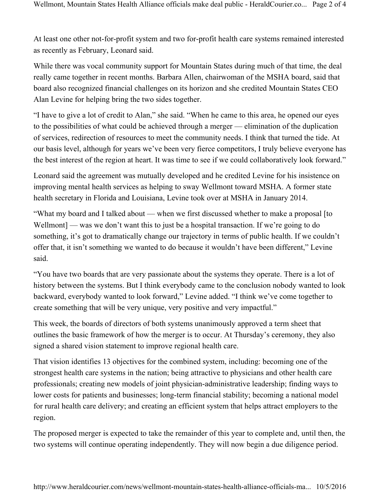At least one other not-for-profit system and two for-profit health care systems remained interested as recently as February, Leonard said.

While there was vocal community support for Mountain States during much of that time, the deal really came together in recent months. Barbara Allen, chairwoman of the MSHA board, said that board also recognized financial challenges on its horizon and she credited Mountain States CEO Alan Levine for helping bring the two sides together.

"I have to give a lot of credit to Alan," she said. "When he came to this area, he opened our eyes to the possibilities of what could be achieved through a merger — elimination of the duplication of services, redirection of resources to meet the community needs. I think that turned the tide. At our basis level, although for years we've been very fierce competitors, I truly believe everyone has the best interest of the region at heart. It was time to see if we could collaboratively look forward."

Leonard said the agreement was mutually developed and he credited Levine for his insistence on improving mental health services as helping to sway Wellmont toward MSHA. A former state health secretary in Florida and Louisiana, Levine took over at MSHA in January 2014.

"What my board and I talked about — when we first discussed whether to make a proposal [to Wellmont] — was we don't want this to just be a hospital transaction. If we're going to do something, it's got to dramatically change our trajectory in terms of public health. If we couldn't offer that, it isn't something we wanted to do because it wouldn't have been different," Levine said.

"You have two boards that are very passionate about the systems they operate. There is a lot of history between the systems. But I think everybody came to the conclusion nobody wanted to look backward, everybody wanted to look forward," Levine added. "I think we've come together to create something that will be very unique, very positive and very impactful."

This week, the boards of directors of both systems unanimously approved a term sheet that outlines the basic framework of how the merger is to occur. At Thursday's ceremony, they also signed a shared vision statement to improve regional health care.

That vision identifies 13 objectives for the combined system, including: becoming one of the strongest health care systems in the nation; being attractive to physicians and other health care professionals; creating new models of joint physician-administrative leadership; finding ways to lower costs for patients and businesses; long-term financial stability; becoming a national model for rural health care delivery; and creating an efficient system that helps attract employers to the region.

The proposed merger is expected to take the remainder of this year to complete and, until then, the two systems will continue operating independently. They will now begin a due diligence period.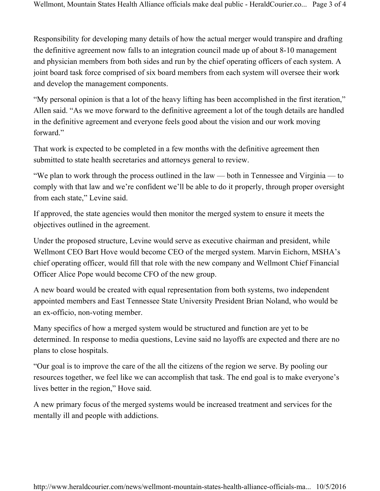Responsibility for developing many details of how the actual merger would transpire and drafting the definitive agreement now falls to an integration council made up of about 8-10 management and physician members from both sides and run by the chief operating officers of each system. A joint board task force comprised of six board members from each system will oversee their work and develop the management components.

"My personal opinion is that a lot of the heavy lifting has been accomplished in the first iteration," Allen said. "As we move forward to the definitive agreement a lot of the tough details are handled in the definitive agreement and everyone feels good about the vision and our work moving forward"

That work is expected to be completed in a few months with the definitive agreement then submitted to state health secretaries and attorneys general to review.

"We plan to work through the process outlined in the law — both in Tennessee and Virginia — to comply with that law and we're confident we'll be able to do it properly, through proper oversight from each state," Levine said.

If approved, the state agencies would then monitor the merged system to ensure it meets the objectives outlined in the agreement.

Under the proposed structure, Levine would serve as executive chairman and president, while Wellmont CEO Bart Hove would become CEO of the merged system. Marvin Eichorn, MSHA's chief operating officer, would fill that role with the new company and Wellmont Chief Financial Officer Alice Pope would become CFO of the new group.

A new board would be created with equal representation from both systems, two independent appointed members and East Tennessee State University President Brian Noland, who would be an ex-officio, non-voting member.

Many specifics of how a merged system would be structured and function are yet to be determined. In response to media questions, Levine said no layoffs are expected and there are no plans to close hospitals.

"Our goal is to improve the care of the all the citizens of the region we serve. By pooling our resources together, we feel like we can accomplish that task. The end goal is to make everyone's lives better in the region," Hove said.

A new primary focus of the merged systems would be increased treatment and services for the mentally ill and people with addictions.